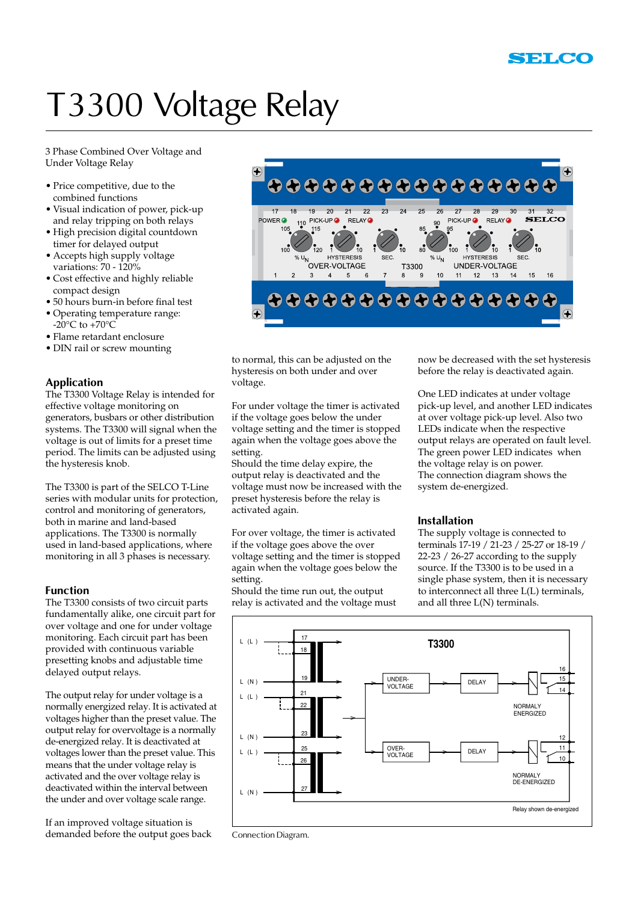## T3300 Voltage Relay

3 Phase Combined Over Voltage and Under Voltage Relay

- Price competitive, due to the combined functions
- Visual indication of power, pick-up and relay tripping on both relays
- High precision digital countdown timer for delayed output
- Accepts high supply voltage variations: 70 - 120%
- Cost effective and highly reliable compact design
- 50 hours burn-in before final test
- Operating temperature range:  $-20^{\circ}$ C to  $+70^{\circ}$ C
- Flame retardant enclosure
- DIN rail or screw mounting

## **Application**

The T3300 Voltage Relay is intended for effective voltage monitoring on generators, busbars or other distribution systems. The T3300 will signal when the voltage is out of limits for a preset time period. The limits can be adjusted using the hysteresis knob.

The T3300 is part of the SELCO T-Line series with modular units for protection, control and monitoring of generators, both in marine and land-based applications. The T3300 is normally used in land-based applications, where monitoring in all 3 phases is necessary.

#### **Function**

The T3300 consists of two circuit parts fundamentally alike, one circuit part for over voltage and one for under voltage monitoring. Each circuit part has been provided with continuous variable presetting knobs and adjustable time delayed output relays.

The output relay for under voltage is a normally energized relay. It is activated at voltages higher than the preset value. The output relay for overvoltage is a normally de-energized relay. It is deactivated at voltages lower than the preset value. This means that the under voltage relay is activated and the over voltage relay is deactivated within the interval between the under and over voltage scale range.

If an improved voltage situation is demanded before the output goes back



to normal, this can be adjusted on the hysteresis on both under and over voltage.

For under voltage the timer is activated if the voltage goes below the under voltage setting and the timer is stopped again when the voltage goes above the setting.

Should the time delay expire, the output relay is deactivated and the voltage must now be increased with the preset hysteresis before the relay is activated again.

For over voltage, the timer is activated if the voltage goes above the over voltage setting and the timer is stopped again when the voltage goes below the setting.

Should the time run out, the output relay is activated and the voltage must

now be decreased with the set hysteresis before the relay is deactivated again.

One LED indicates at under voltage pick-up level, and another LED indicates at over voltage pick-up level. Also two LEDs indicate when the respective output relays are operated on fault level. The green power LED indicates when the voltage relay is on power. The connection diagram shows the system de-energized.

### **Installation**

The supply voltage is connected to terminals 17-19 / 21-23 / 25-27 or 18-19 / 22-23 / 26-27 according to the supply source. If the T3300 is to be used in a single phase system, then it is necessary to interconnect all three L(L) terminals, and all three L(N) terminals.



Connection Diagram.